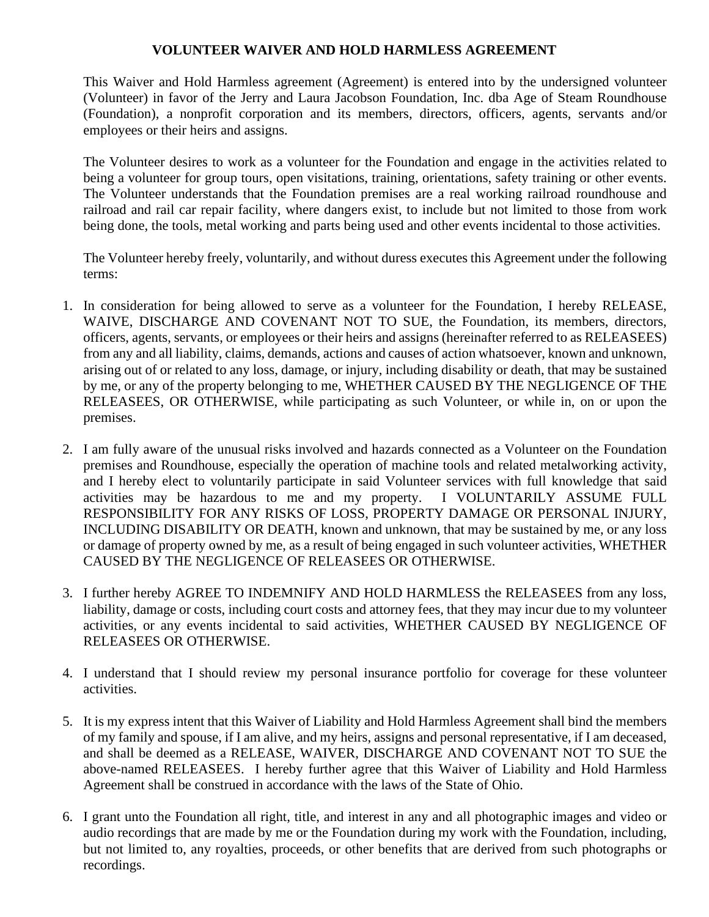## **VOLUNTEER WAIVER AND HOLD HARMLESS AGREEMENT**

This Waiver and Hold Harmless agreement (Agreement) is entered into by the undersigned volunteer (Volunteer) in favor of the Jerry and Laura Jacobson Foundation, Inc. dba Age of Steam Roundhouse (Foundation), a nonprofit corporation and its members, directors, officers, agents, servants and/or employees or their heirs and assigns.

The Volunteer desires to work as a volunteer for the Foundation and engage in the activities related to being a volunteer for group tours, open visitations, training, orientations, safety training or other events. The Volunteer understands that the Foundation premises are a real working railroad roundhouse and railroad and rail car repair facility, where dangers exist, to include but not limited to those from work being done, the tools, metal working and parts being used and other events incidental to those activities.

The Volunteer hereby freely, voluntarily, and without duress executes this Agreement under the following terms:

- 1. In consideration for being allowed to serve as a volunteer for the Foundation, I hereby RELEASE, WAIVE, DISCHARGE AND COVENANT NOT TO SUE, the Foundation, its members, directors, officers, agents, servants, or employees or their heirs and assigns (hereinafter referred to as RELEASEES) from any and all liability, claims, demands, actions and causes of action whatsoever, known and unknown, arising out of or related to any loss, damage, or injury, including disability or death, that may be sustained by me, or any of the property belonging to me, WHETHER CAUSED BY THE NEGLIGENCE OF THE RELEASEES, OR OTHERWISE, while participating as such Volunteer, or while in, on or upon the premises.
- 2. I am fully aware of the unusual risks involved and hazards connected as a Volunteer on the Foundation premises and Roundhouse, especially the operation of machine tools and related metalworking activity, and I hereby elect to voluntarily participate in said Volunteer services with full knowledge that said activities may be hazardous to me and my property. I VOLUNTARILY ASSUME FULL RESPONSIBILITY FOR ANY RISKS OF LOSS, PROPERTY DAMAGE OR PERSONAL INJURY, INCLUDING DISABILITY OR DEATH, known and unknown, that may be sustained by me, or any loss or damage of property owned by me, as a result of being engaged in such volunteer activities, WHETHER CAUSED BY THE NEGLIGENCE OF RELEASEES OR OTHERWISE.
- 3. I further hereby AGREE TO INDEMNIFY AND HOLD HARMLESS the RELEASEES from any loss, liability, damage or costs, including court costs and attorney fees, that they may incur due to my volunteer activities, or any events incidental to said activities, WHETHER CAUSED BY NEGLIGENCE OF RELEASEES OR OTHERWISE.
- 4. I understand that I should review my personal insurance portfolio for coverage for these volunteer activities.
- 5. It is my express intent that this Waiver of Liability and Hold Harmless Agreement shall bind the members of my family and spouse, if I am alive, and my heirs, assigns and personal representative, if I am deceased, and shall be deemed as a RELEASE, WAIVER, DISCHARGE AND COVENANT NOT TO SUE the above-named RELEASEES. I hereby further agree that this Waiver of Liability and Hold Harmless Agreement shall be construed in accordance with the laws of the State of Ohio.
- 6. I grant unto the Foundation all right, title, and interest in any and all photographic images and video or audio recordings that are made by me or the Foundation during my work with the Foundation, including, but not limited to, any royalties, proceeds, or other benefits that are derived from such photographs or recordings.